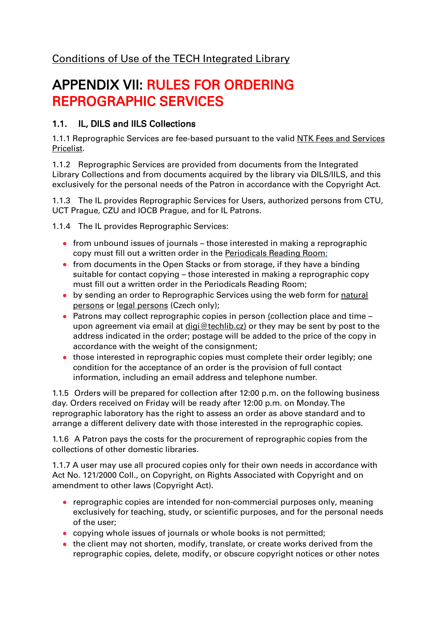## [Conditions of Use of the TECH Integrated Library](/default/files/download/id/4617/)

# APPENDIX VII: RULES FOR ORDERING REPROGRAPHIC SERVICES

#### 1.1. IL, DILS and IILS Collections

1.1.1 Reprographic Services are fee-based pursuant to the valid **NTK Fees and Services** [Pricelist.](/default/files/download/id/4618)

1.1.2 Reprographic Services are provided from documents from the Integrated Library Collections and from documents acquired by the library via DILS/IILS, and this exclusively for the personal needs of the Patron in accordance with the Copyright Act.

1.1.3 The IL provides Reprographic Services for Users, authorized persons from CTU, UCT Prague, CZU and IOCB Prague, and for IL Patrons.

1.1.4 The IL provides Reprographic Services:

- from unbound issues of journals those interested in making a reprographic copy must fill out a written order in the [Periodicals Reading Room;](/en/82969)
- from documents in the Open Stacks or from storage, if they have a binding suitable for contact copying – those interested in making a reprographic copy must fill out a written order in the Periodicals Reading Room;
- by sending an order to Reprographic Services using the web form for [natural](/cs/2891-reprograficke-sluzby)  [persons](/cs/2891-reprograficke-sluzby) or [legal persons](/cs/2891-reprograficke-sluzby#tab_repro-legal) (Czech only);
- Patrons may collect reprographic copies in person (collection place and time upon agreement via email at [digi@techlib.cz\)](mailto:digi@techlib.cz) or they may be sent by post to the address indicated in the order; postage will be added to the price of the copy in accordance with the weight of the consignment;
- those interested in reprographic copies must complete their order legibly; one condition for the acceptance of an order is the provision of full contact information, including an email address and telephone number.

1.1.5 Orders will be prepared for collection after 12:00 p.m. on the following business day. Orders received on Friday will be ready after 12:00 p.m. on Monday. The reprographic laboratory has the right to assess an order as above standard and to arrange a different delivery date with those interested in the reprographic copies.

1.1.6 A Patron pays the costs for the procurement of reprographic copies from the collections of other domestic libraries.

1.1.7 A user may use all procured copies only for their own needs in accordance with Act No. 121/2000 Coll., on Copyright, on Rights Associated with Copyright and on amendment to other laws (Copyright Act).

- reprographic copies are intended for non-commercial purposes only, meaning exclusively for teaching, study, or scientific purposes, and for the personal needs of the user;
- copying whole issues of journals or whole books is not permitted;
- $\bullet$  the client may not shorten, modify, translate, or create works derived from the reprographic copies, delete, modify, or obscure copyright notices or other notes